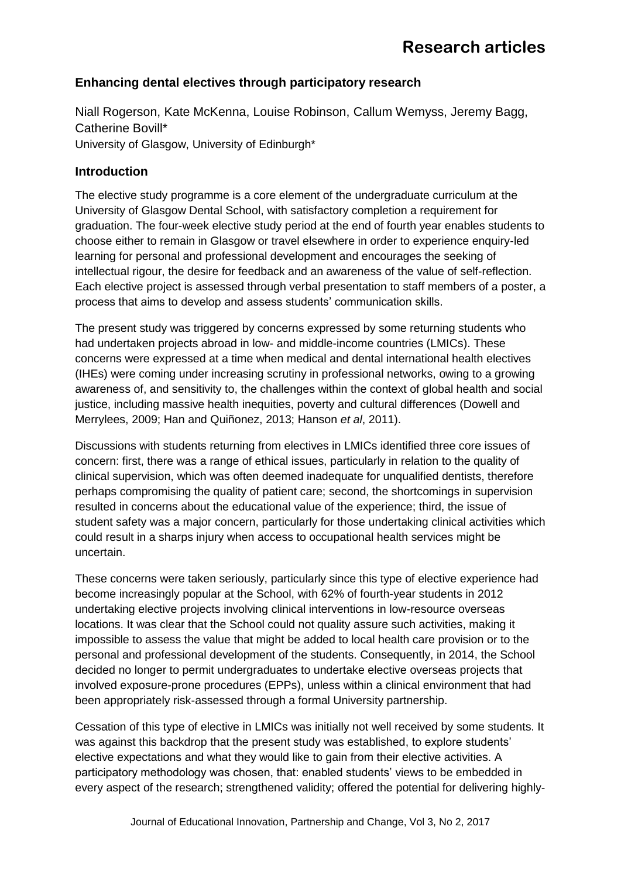# **Enhancing dental electives through participatory research**

Niall Rogerson, Kate McKenna, Louise Robinson, Callum Wemyss, Jeremy Bagg, Catherine Bovill\* University of Glasgow, University of Edinburgh\*

#### **Introduction**

The elective study programme is a core element of the undergraduate curriculum at the University of Glasgow Dental School, with satisfactory completion a requirement for graduation. The four-week elective study period at the end of fourth year enables students to choose either to remain in Glasgow or travel elsewhere in order to experience enquiry-led learning for personal and professional development and encourages the seeking of intellectual rigour, the desire for feedback and an awareness of the value of self-reflection. Each elective project is assessed through verbal presentation to staff members of a poster, a process that aims to develop and assess students' communication skills.

The present study was triggered by concerns expressed by some returning students who had undertaken projects abroad in low- and middle-income countries (LMICs). These concerns were expressed at a time when medical and dental international health electives (IHEs) were coming under increasing scrutiny in professional networks, owing to a growing awareness of, and sensitivity to, the challenges within the context of global health and social justice, including massive health inequities, poverty and cultural differences (Dowell and Merrylees, 2009; Han and Quiñonez, 2013; Hanson *et al*, 2011).

Discussions with students returning from electives in LMICs identified three core issues of concern: first, there was a range of ethical issues, particularly in relation to the quality of clinical supervision, which was often deemed inadequate for unqualified dentists, therefore perhaps compromising the quality of patient care; second, the shortcomings in supervision resulted in concerns about the educational value of the experience; third, the issue of student safety was a major concern, particularly for those undertaking clinical activities which could result in a sharps injury when access to occupational health services might be uncertain.

These concerns were taken seriously, particularly since this type of elective experience had become increasingly popular at the School, with 62% of fourth-year students in 2012 undertaking elective projects involving clinical interventions in low-resource overseas locations. It was clear that the School could not quality assure such activities, making it impossible to assess the value that might be added to local health care provision or to the personal and professional development of the students. Consequently, in 2014, the School decided no longer to permit undergraduates to undertake elective overseas projects that involved exposure-prone procedures (EPPs), unless within a clinical environment that had been appropriately risk-assessed through a formal University partnership.

Cessation of this type of elective in LMICs was initially not well received by some students. It was against this backdrop that the present study was established, to explore students' elective expectations and what they would like to gain from their elective activities. A participatory methodology was chosen, that: enabled students' views to be embedded in every aspect of the research; strengthened validity; offered the potential for delivering highly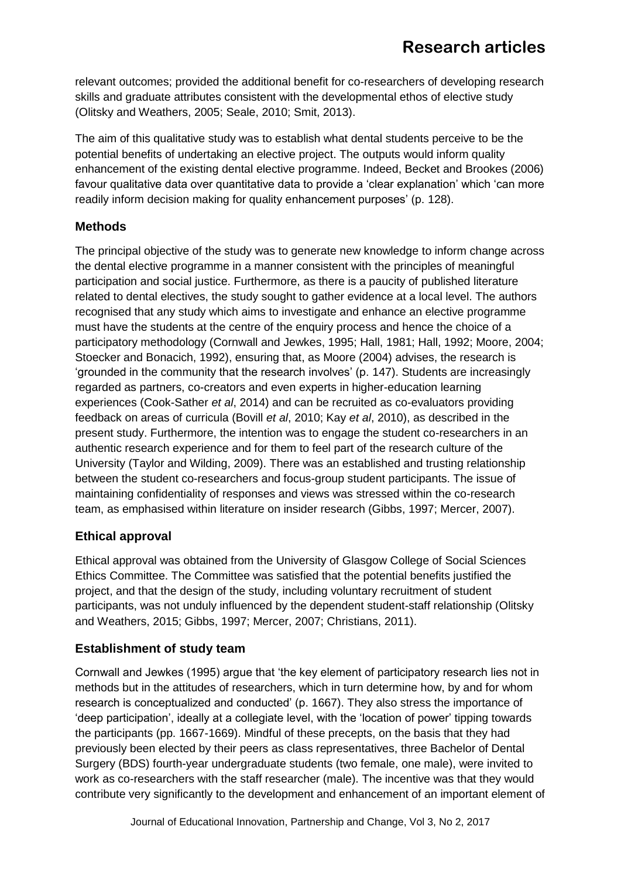relevant outcomes; provided the additional benefit for co-researchers of developing research skills and graduate attributes consistent with the developmental ethos of elective study (Olitsky and Weathers, 2005; Seale, 2010; Smit, 2013).

The aim of this qualitative study was to establish what dental students perceive to be the potential benefits of undertaking an elective project. The outputs would inform quality enhancement of the existing dental elective programme. Indeed, Becket and Brookes (2006) favour qualitative data over quantitative data to provide a 'clear explanation' which 'can more readily inform decision making for quality enhancement purposes' (p. 128).

# **Methods**

The principal objective of the study was to generate new knowledge to inform change across the dental elective programme in a manner consistent with the principles of meaningful participation and social justice. Furthermore, as there is a paucity of published literature related to dental electives, the study sought to gather evidence at a local level. The authors recognised that any study which aims to investigate and enhance an elective programme must have the students at the centre of the enquiry process and hence the choice of a participatory methodology (Cornwall and Jewkes, 1995; Hall, 1981; Hall, 1992; Moore, 2004; Stoecker and Bonacich, 1992), ensuring that, as Moore (2004) advises, the research is 'grounded in the community that the research involves' (p. 147). Students are increasingly regarded as partners, co-creators and even experts in higher-education learning experiences (Cook-Sather *et al*, 2014) and can be recruited as co-evaluators providing feedback on areas of curricula (Bovill *et al*, 2010; Kay *et al*, 2010), as described in the present study. Furthermore, the intention was to engage the student co-researchers in an authentic research experience and for them to feel part of the research culture of the University (Taylor and Wilding, 2009). There was an established and trusting relationship between the student co-researchers and focus-group student participants. The issue of maintaining confidentiality of responses and views was stressed within the co-research team, as emphasised within literature on insider research (Gibbs, 1997; Mercer, 2007).

## **Ethical approval**

Ethical approval was obtained from the University of Glasgow College of Social Sciences Ethics Committee. The Committee was satisfied that the potential benefits justified the project, and that the design of the study, including voluntary recruitment of student participants, was not unduly influenced by the dependent student-staff relationship (Olitsky and Weathers, 2015; Gibbs, 1997; Mercer, 2007; Christians, 2011).

## **Establishment of study team**

Cornwall and Jewkes (1995) argue that 'the key element of participatory research lies not in methods but in the attitudes of researchers, which in turn determine how, by and for whom research is conceptualized and conducted' (p. 1667). They also stress the importance of 'deep participation', ideally at a collegiate level, with the 'location of power' tipping towards the participants (pp. 1667-1669). Mindful of these precepts, on the basis that they had previously been elected by their peers as class representatives, three Bachelor of Dental Surgery (BDS) fourth-year undergraduate students (two female, one male), were invited to work as co-researchers with the staff researcher (male). The incentive was that they would contribute very significantly to the development and enhancement of an important element of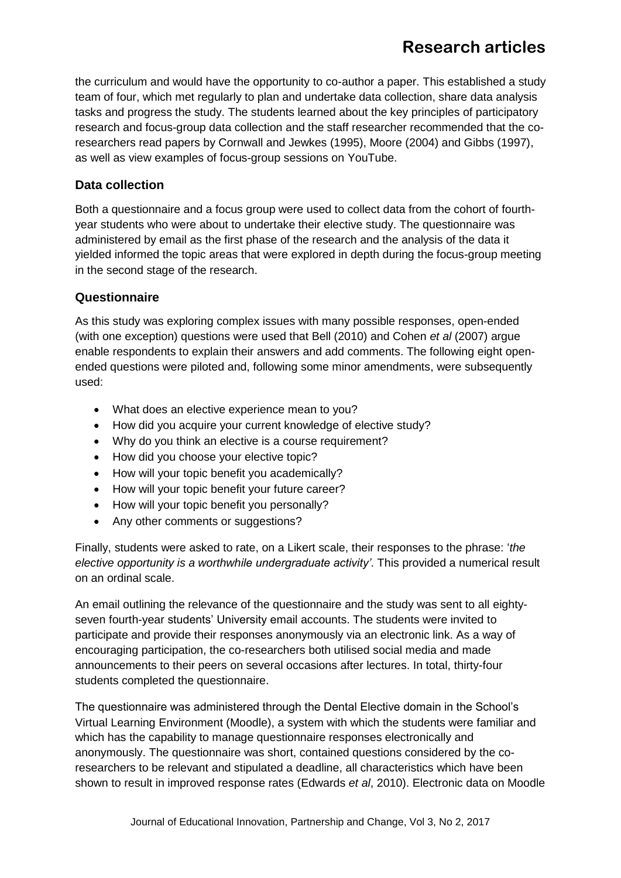# **Research articles**

the curriculum and would have the opportunity to co-author a paper. This established a study team of four, which met regularly to plan and undertake data collection, share data analysis tasks and progress the study. The students learned about the key principles of participatory research and focus-group data collection and the staff researcher recommended that the coresearchers read papers by Cornwall and Jewkes (1995), Moore (2004) and Gibbs (1997), as well as view examples of focus-group sessions on YouTube.

### **Data collection**

Both a questionnaire and a focus group were used to collect data from the cohort of fourthyear students who were about to undertake their elective study. The questionnaire was administered by email as the first phase of the research and the analysis of the data it yielded informed the topic areas that were explored in depth during the focus-group meeting in the second stage of the research.

#### **Questionnaire**

As this study was exploring complex issues with many possible responses, open-ended (with one exception) questions were used that Bell (2010) and Cohen *et al* (2007) argue enable respondents to explain their answers and add comments. The following eight openended questions were piloted and, following some minor amendments, were subsequently used:

- What does an elective experience mean to you?
- How did you acquire your current knowledge of elective study?
- Why do you think an elective is a course requirement?
- How did you choose your elective topic?
- How will your topic benefit you academically?
- How will your topic benefit your future career?
- How will your topic benefit you personally?
- Any other comments or suggestions?

Finally, students were asked to rate, on a Likert scale, their responses to the phrase: '*the elective opportunity is a worthwhile undergraduate activity'*. This provided a numerical result on an ordinal scale.

An email outlining the relevance of the questionnaire and the study was sent to all eightyseven fourth-year students' University email accounts. The students were invited to participate and provide their responses anonymously via an electronic link. As a way of encouraging participation, the co-researchers both utilised social media and made announcements to their peers on several occasions after lectures. In total, thirty-four students completed the questionnaire.

The questionnaire was administered through the Dental Elective domain in the School's Virtual Learning Environment (Moodle), a system with which the students were familiar and which has the capability to manage questionnaire responses electronically and anonymously. The questionnaire was short, contained questions considered by the coresearchers to be relevant and stipulated a deadline, all characteristics which have been shown to result in improved response rates (Edwards *et al*, 2010). Electronic data on Moodle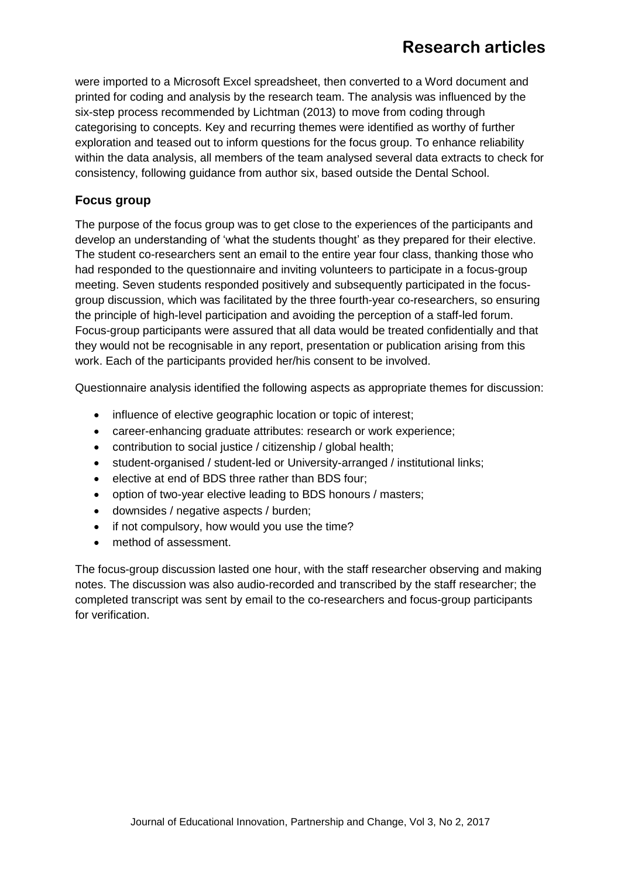# **Research articles**

were imported to a Microsoft Excel spreadsheet, then converted to a Word document and printed for coding and analysis by the research team. The analysis was influenced by the six-step process recommended by Lichtman (2013) to move from coding through categorising to concepts. Key and recurring themes were identified as worthy of further exploration and teased out to inform questions for the focus group. To enhance reliability within the data analysis, all members of the team analysed several data extracts to check for consistency, following guidance from author six, based outside the Dental School.

### **Focus group**

The purpose of the focus group was to get close to the experiences of the participants and develop an understanding of 'what the students thought' as they prepared for their elective. The student co-researchers sent an email to the entire year four class, thanking those who had responded to the questionnaire and inviting volunteers to participate in a focus-group meeting. Seven students responded positively and subsequently participated in the focusgroup discussion, which was facilitated by the three fourth-year co-researchers, so ensuring the principle of high-level participation and avoiding the perception of a staff-led forum. Focus-group participants were assured that all data would be treated confidentially and that they would not be recognisable in any report, presentation or publication arising from this work. Each of the participants provided her/his consent to be involved.

Questionnaire analysis identified the following aspects as appropriate themes for discussion:

- influence of elective geographic location or topic of interest;
- career-enhancing graduate attributes: research or work experience;
- contribution to social justice / citizenship / global health;
- student-organised / student-led or University-arranged / institutional links;
- elective at end of BDS three rather than BDS four;
- option of two-year elective leading to BDS honours / masters;
- downsides / negative aspects / burden;
- if not compulsory, how would you use the time?
- method of assessment.

The focus-group discussion lasted one hour, with the staff researcher observing and making notes. The discussion was also audio-recorded and transcribed by the staff researcher; the completed transcript was sent by email to the co-researchers and focus-group participants for verification.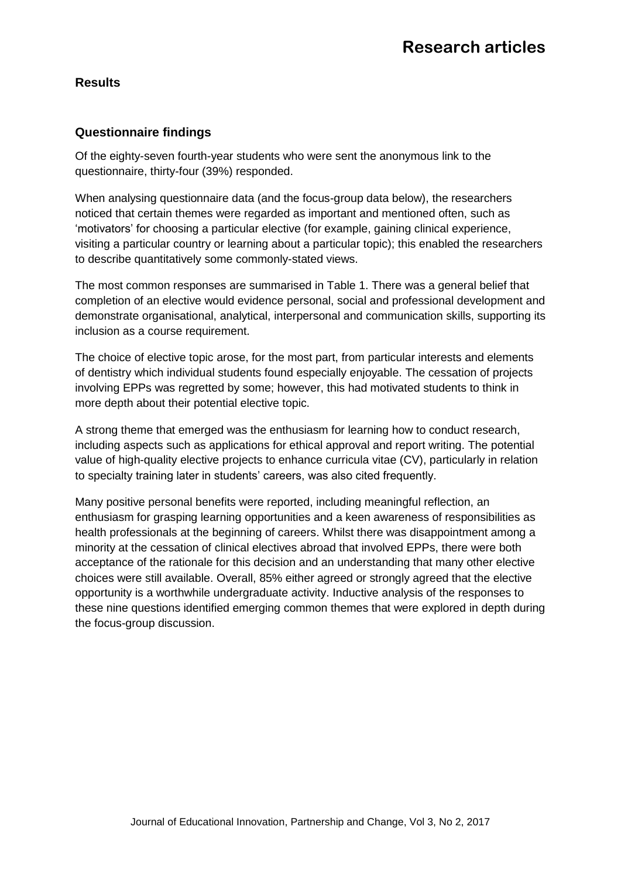# **Results**

### **Questionnaire findings**

Of the eighty-seven fourth-year students who were sent the anonymous link to the questionnaire, thirty-four (39%) responded.

When analysing questionnaire data (and the focus-group data below), the researchers noticed that certain themes were regarded as important and mentioned often, such as 'motivators' for choosing a particular elective (for example, gaining clinical experience, visiting a particular country or learning about a particular topic); this enabled the researchers to describe quantitatively some commonly-stated views.

The most common responses are summarised in Table 1. There was a general belief that completion of an elective would evidence personal, social and professional development and demonstrate organisational, analytical, interpersonal and communication skills, supporting its inclusion as a course requirement.

The choice of elective topic arose, for the most part, from particular interests and elements of dentistry which individual students found especially enjoyable. The cessation of projects involving EPPs was regretted by some; however, this had motivated students to think in more depth about their potential elective topic.

A strong theme that emerged was the enthusiasm for learning how to conduct research, including aspects such as applications for ethical approval and report writing. The potential value of high-quality elective projects to enhance curricula vitae (CV), particularly in relation to specialty training later in students' careers, was also cited frequently.

Many positive personal benefits were reported, including meaningful reflection, an enthusiasm for grasping learning opportunities and a keen awareness of responsibilities as health professionals at the beginning of careers. Whilst there was disappointment among a minority at the cessation of clinical electives abroad that involved EPPs, there were both acceptance of the rationale for this decision and an understanding that many other elective choices were still available. Overall, 85% either agreed or strongly agreed that the elective opportunity is a worthwhile undergraduate activity. Inductive analysis of the responses to these nine questions identified emerging common themes that were explored in depth during the focus-group discussion.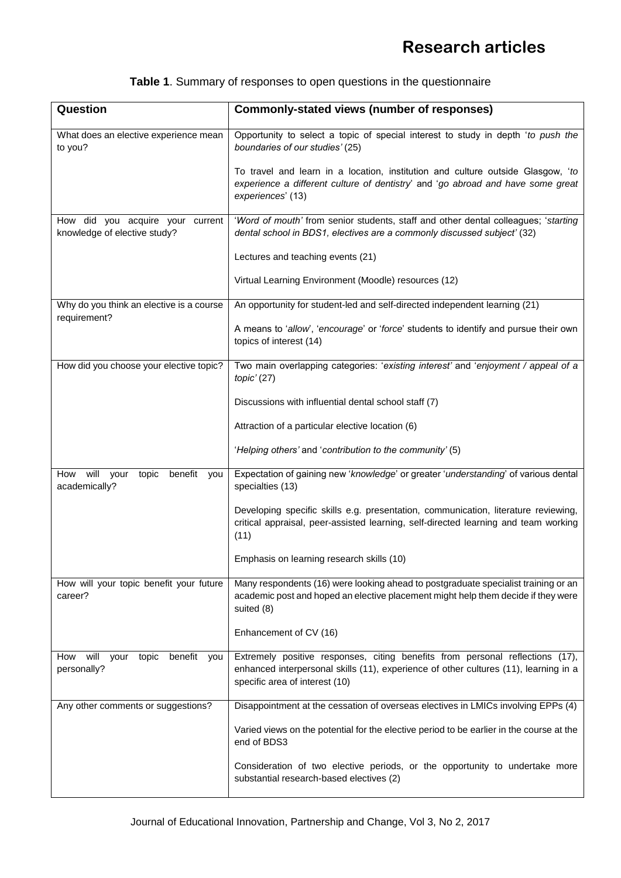| <b>Table 1.</b> Summary of responses to open questions in the questionnaire |  |  |  |  |
|-----------------------------------------------------------------------------|--|--|--|--|
|-----------------------------------------------------------------------------|--|--|--|--|

| Question                                                         | <b>Commonly-stated views (number of responses)</b>                                                                                                                                                      |
|------------------------------------------------------------------|---------------------------------------------------------------------------------------------------------------------------------------------------------------------------------------------------------|
| What does an elective experience mean<br>to you?                 | Opportunity to select a topic of special interest to study in depth 'to push the<br>boundaries of our studies' (25)                                                                                     |
|                                                                  | To travel and learn in a location, institution and culture outside Glasgow, 'to<br>experience a different culture of dentistry' and 'go abroad and have some great<br>experiences' (13)                 |
| How did you acquire your current<br>knowledge of elective study? | 'Word of mouth' from senior students, staff and other dental colleagues; 'starting<br>dental school in BDS1, electives are a commonly discussed subject' (32)                                           |
|                                                                  | Lectures and teaching events (21)                                                                                                                                                                       |
|                                                                  | Virtual Learning Environment (Moodle) resources (12)                                                                                                                                                    |
| Why do you think an elective is a course<br>requirement?         | An opportunity for student-led and self-directed independent learning (21)                                                                                                                              |
|                                                                  | A means to 'allow', 'encourage' or 'force' students to identify and pursue their own<br>topics of interest (14)                                                                                         |
| How did you choose your elective topic?                          | Two main overlapping categories: 'existing interest' and 'enjoyment / appeal of a<br>$topic'$ (27)                                                                                                      |
|                                                                  | Discussions with influential dental school staff (7)                                                                                                                                                    |
|                                                                  | Attraction of a particular elective location (6)                                                                                                                                                        |
|                                                                  | 'Helping others' and 'contribution to the community' (5)                                                                                                                                                |
| will<br>How<br>benefit<br>your<br>topic<br>you<br>academically?  | Expectation of gaining new 'knowledge' or greater 'understanding' of various dental<br>specialties (13)                                                                                                 |
|                                                                  | Developing specific skills e.g. presentation, communication, literature reviewing,<br>critical appraisal, peer-assisted learning, self-directed learning and team working<br>(11)                       |
|                                                                  | Emphasis on learning research skills (10)                                                                                                                                                               |
| How will your topic benefit your future<br>career?               | Many respondents (16) were looking ahead to postgraduate specialist training or an<br>academic post and hoped an elective placement might help them decide if they were<br>suited (8)                   |
|                                                                  | Enhancement of CV (16)                                                                                                                                                                                  |
| will<br>benefit you<br>How<br>topic<br>your<br>personally?       | Extremely positive responses, citing benefits from personal reflections (17),<br>enhanced interpersonal skills (11), experience of other cultures (11), learning in a<br>specific area of interest (10) |
| Any other comments or suggestions?                               | Disappointment at the cessation of overseas electives in LMICs involving EPPs (4)                                                                                                                       |
|                                                                  | Varied views on the potential for the elective period to be earlier in the course at the<br>end of BDS3                                                                                                 |
|                                                                  | Consideration of two elective periods, or the opportunity to undertake more<br>substantial research-based electives (2)                                                                                 |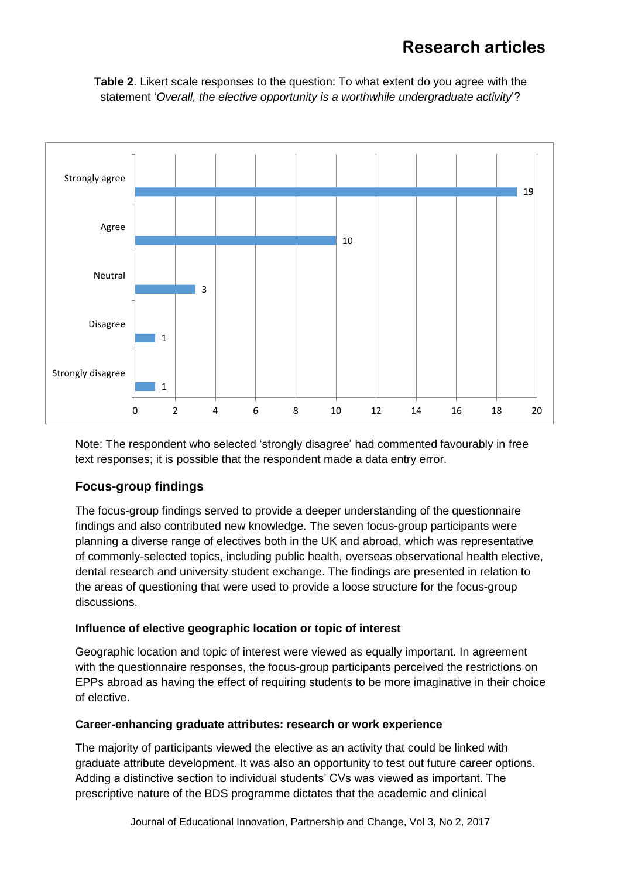# **Research articles**





Note: The respondent who selected 'strongly disagree' had commented favourably in free text responses; it is possible that the respondent made a data entry error.

## **Focus-group findings**

The focus-group findings served to provide a deeper understanding of the questionnaire findings and also contributed new knowledge. The seven focus-group participants were planning a diverse range of electives both in the UK and abroad, which was representative of commonly-selected topics, including public health, overseas observational health elective, dental research and university student exchange. The findings are presented in relation to the areas of questioning that were used to provide a loose structure for the focus-group discussions.

#### **Influence of elective geographic location or topic of interest**

Geographic location and topic of interest were viewed as equally important. In agreement with the questionnaire responses, the focus-group participants perceived the restrictions on EPPs abroad as having the effect of requiring students to be more imaginative in their choice of elective.

#### **Career-enhancing graduate attributes: research or work experience**

The majority of participants viewed the elective as an activity that could be linked with graduate attribute development. It was also an opportunity to test out future career options. Adding a distinctive section to individual students' CVs was viewed as important. The prescriptive nature of the BDS programme dictates that the academic and clinical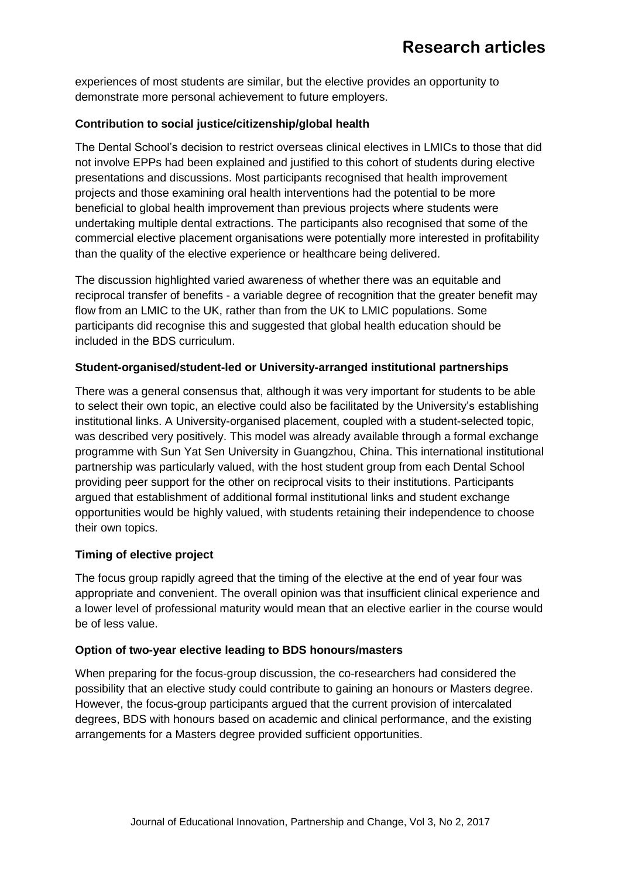experiences of most students are similar, but the elective provides an opportunity to demonstrate more personal achievement to future employers.

#### **Contribution to social justice/citizenship/global health**

The Dental School's decision to restrict overseas clinical electives in LMICs to those that did not involve EPPs had been explained and justified to this cohort of students during elective presentations and discussions. Most participants recognised that health improvement projects and those examining oral health interventions had the potential to be more beneficial to global health improvement than previous projects where students were undertaking multiple dental extractions. The participants also recognised that some of the commercial elective placement organisations were potentially more interested in profitability than the quality of the elective experience or healthcare being delivered.

The discussion highlighted varied awareness of whether there was an equitable and reciprocal transfer of benefits - a variable degree of recognition that the greater benefit may flow from an LMIC to the UK, rather than from the UK to LMIC populations. Some participants did recognise this and suggested that global health education should be included in the BDS curriculum.

#### **Student-organised/student-led or University-arranged institutional partnerships**

There was a general consensus that, although it was very important for students to be able to select their own topic, an elective could also be facilitated by the University's establishing institutional links. A University-organised placement, coupled with a student-selected topic, was described very positively. This model was already available through a formal exchange programme with Sun Yat Sen University in Guangzhou, China. This international institutional partnership was particularly valued, with the host student group from each Dental School providing peer support for the other on reciprocal visits to their institutions. Participants argued that establishment of additional formal institutional links and student exchange opportunities would be highly valued, with students retaining their independence to choose their own topics.

#### **Timing of elective project**

The focus group rapidly agreed that the timing of the elective at the end of year four was appropriate and convenient. The overall opinion was that insufficient clinical experience and a lower level of professional maturity would mean that an elective earlier in the course would be of less value.

#### **Option of two-year elective leading to BDS honours/masters**

When preparing for the focus-group discussion, the co-researchers had considered the possibility that an elective study could contribute to gaining an honours or Masters degree. However, the focus-group participants argued that the current provision of intercalated degrees, BDS with honours based on academic and clinical performance, and the existing arrangements for a Masters degree provided sufficient opportunities.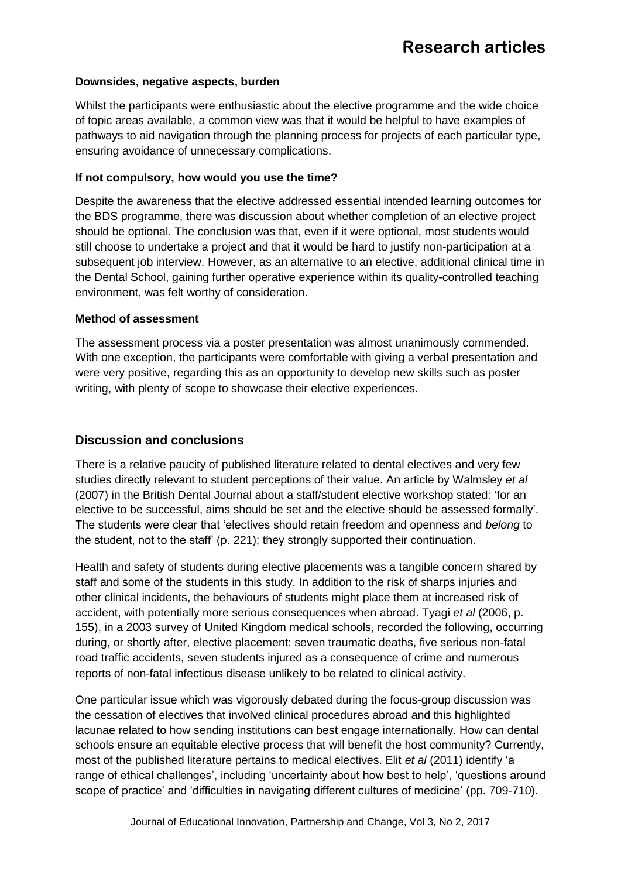#### **Downsides, negative aspects, burden**

Whilst the participants were enthusiastic about the elective programme and the wide choice of topic areas available, a common view was that it would be helpful to have examples of pathways to aid navigation through the planning process for projects of each particular type, ensuring avoidance of unnecessary complications.

#### **If not compulsory, how would you use the time?**

Despite the awareness that the elective addressed essential intended learning outcomes for the BDS programme, there was discussion about whether completion of an elective project should be optional. The conclusion was that, even if it were optional, most students would still choose to undertake a project and that it would be hard to justify non-participation at a subsequent job interview. However, as an alternative to an elective, additional clinical time in the Dental School, gaining further operative experience within its quality-controlled teaching environment, was felt worthy of consideration.

#### **Method of assessment**

The assessment process via a poster presentation was almost unanimously commended. With one exception, the participants were comfortable with giving a verbal presentation and were very positive, regarding this as an opportunity to develop new skills such as poster writing, with plenty of scope to showcase their elective experiences.

#### **Discussion and conclusions**

There is a relative paucity of published literature related to dental electives and very few studies directly relevant to student perceptions of their value. An article by Walmsley *et al* (2007) in the British Dental Journal about a staff/student elective workshop stated: 'for an elective to be successful, aims should be set and the elective should be assessed formally'. The students were clear that 'electives should retain freedom and openness and *belong* to the student, not to the staff' (p. 221); they strongly supported their continuation.

Health and safety of students during elective placements was a tangible concern shared by staff and some of the students in this study. In addition to the risk of sharps injuries and other clinical incidents, the behaviours of students might place them at increased risk of accident, with potentially more serious consequences when abroad. Tyagi *et al* (2006, p. 155), in a 2003 survey of United Kingdom medical schools, recorded the following, occurring during, or shortly after, elective placement: seven traumatic deaths, five serious non-fatal road traffic accidents, seven students injured as a consequence of crime and numerous reports of non-fatal infectious disease unlikely to be related to clinical activity.

One particular issue which was vigorously debated during the focus-group discussion was the cessation of electives that involved clinical procedures abroad and this highlighted lacunae related to how sending institutions can best engage internationally. How can dental schools ensure an equitable elective process that will benefit the host community? Currently, most of the published literature pertains to medical electives. Elit *et al* (2011) identify 'a range of ethical challenges', including 'uncertainty about how best to help', 'questions around scope of practice' and 'difficulties in navigating different cultures of medicine' (pp. 709-710).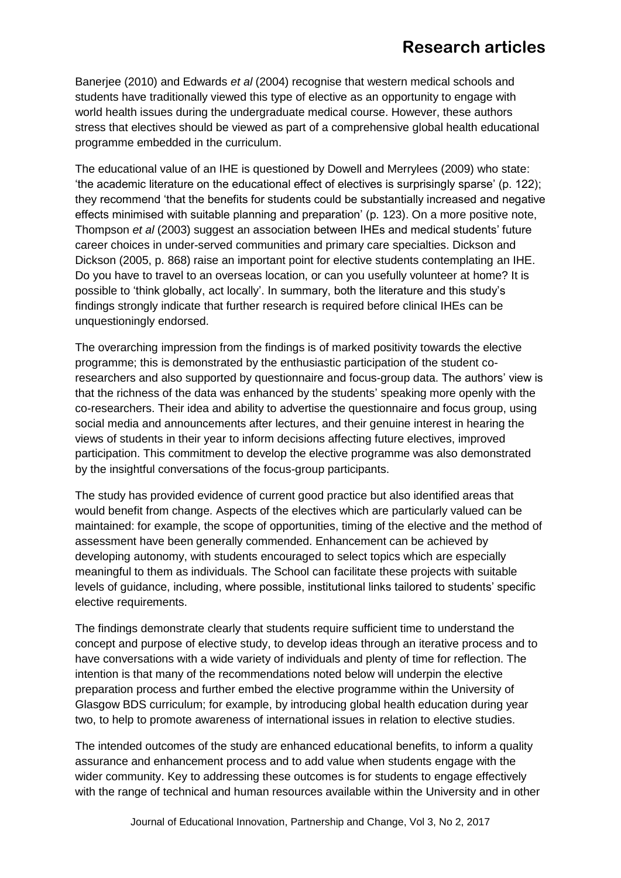Banerjee (2010) and Edwards *et al* (2004) recognise that western medical schools and students have traditionally viewed this type of elective as an opportunity to engage with world health issues during the undergraduate medical course. However, these authors stress that electives should be viewed as part of a comprehensive global health educational programme embedded in the curriculum.

The educational value of an IHE is questioned by Dowell and Merrylees (2009) who state: 'the academic literature on the educational effect of electives is surprisingly sparse' (p. 122); they recommend 'that the benefits for students could be substantially increased and negative effects minimised with suitable planning and preparation' (p. 123). On a more positive note, Thompson *et al* (2003) suggest an association between IHEs and medical students' future career choices in under-served communities and primary care specialties. Dickson and Dickson (2005, p. 868) raise an important point for elective students contemplating an IHE. Do you have to travel to an overseas location, or can you usefully volunteer at home? It is possible to 'think globally, act locally'. In summary, both the literature and this study's findings strongly indicate that further research is required before clinical IHEs can be unquestioningly endorsed.

The overarching impression from the findings is of marked positivity towards the elective programme; this is demonstrated by the enthusiastic participation of the student coresearchers and also supported by questionnaire and focus-group data. The authors' view is that the richness of the data was enhanced by the students' speaking more openly with the co-researchers. Their idea and ability to advertise the questionnaire and focus group, using social media and announcements after lectures, and their genuine interest in hearing the views of students in their year to inform decisions affecting future electives, improved participation. This commitment to develop the elective programme was also demonstrated by the insightful conversations of the focus-group participants.

The study has provided evidence of current good practice but also identified areas that would benefit from change. Aspects of the electives which are particularly valued can be maintained: for example, the scope of opportunities, timing of the elective and the method of assessment have been generally commended. Enhancement can be achieved by developing autonomy, with students encouraged to select topics which are especially meaningful to them as individuals. The School can facilitate these projects with suitable levels of guidance, including, where possible, institutional links tailored to students' specific elective requirements.

The findings demonstrate clearly that students require sufficient time to understand the concept and purpose of elective study, to develop ideas through an iterative process and to have conversations with a wide variety of individuals and plenty of time for reflection. The intention is that many of the recommendations noted below will underpin the elective preparation process and further embed the elective programme within the University of Glasgow BDS curriculum; for example, by introducing global health education during year two, to help to promote awareness of international issues in relation to elective studies.

The intended outcomes of the study are enhanced educational benefits, to inform a quality assurance and enhancement process and to add value when students engage with the wider community. Key to addressing these outcomes is for students to engage effectively with the range of technical and human resources available within the University and in other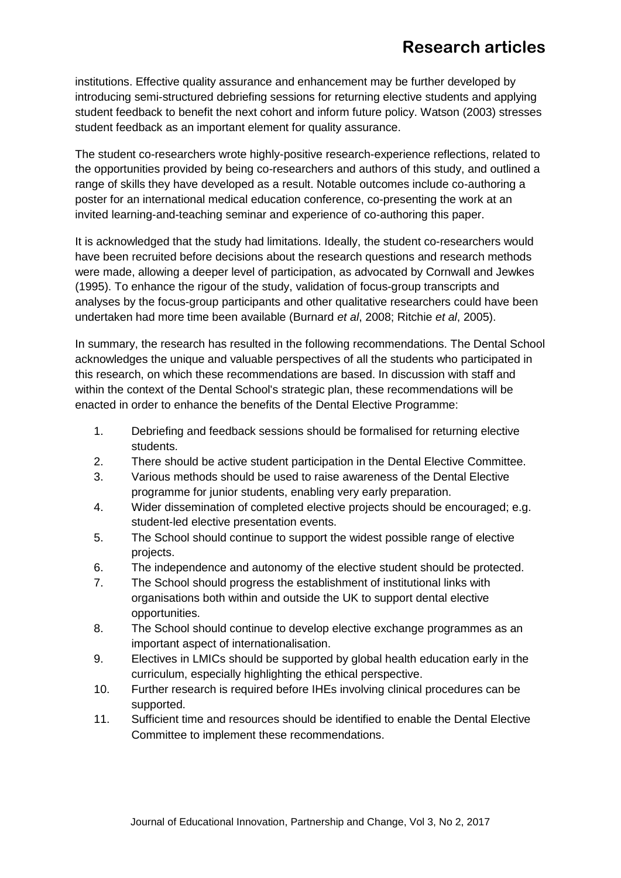institutions. Effective quality assurance and enhancement may be further developed by introducing semi-structured debriefing sessions for returning elective students and applying student feedback to benefit the next cohort and inform future policy. Watson (2003) stresses student feedback as an important element for quality assurance.

The student co-researchers wrote highly-positive research-experience reflections, related to the opportunities provided by being co-researchers and authors of this study, and outlined a range of skills they have developed as a result. Notable outcomes include co-authoring a poster for an international medical education conference, co-presenting the work at an invited learning-and-teaching seminar and experience of co-authoring this paper.

It is acknowledged that the study had limitations. Ideally, the student co-researchers would have been recruited before decisions about the research questions and research methods were made, allowing a deeper level of participation, as advocated by Cornwall and Jewkes (1995). To enhance the rigour of the study, validation of focus-group transcripts and analyses by the focus-group participants and other qualitative researchers could have been undertaken had more time been available (Burnard *et al*, 2008; Ritchie *et al*, 2005).

In summary, the research has resulted in the following recommendations. The Dental School acknowledges the unique and valuable perspectives of all the students who participated in this research, on which these recommendations are based. In discussion with staff and within the context of the Dental School's strategic plan, these recommendations will be enacted in order to enhance the benefits of the Dental Elective Programme:

- 1. Debriefing and feedback sessions should be formalised for returning elective students.
- 2. There should be active student participation in the Dental Elective Committee.
- 3. Various methods should be used to raise awareness of the Dental Elective programme for junior students, enabling very early preparation.
- 4. Wider dissemination of completed elective projects should be encouraged; e.g. student-led elective presentation events.
- 5. The School should continue to support the widest possible range of elective projects.
- 6. The independence and autonomy of the elective student should be protected.
- 7. The School should progress the establishment of institutional links with organisations both within and outside the UK to support dental elective opportunities.
- 8. The School should continue to develop elective exchange programmes as an important aspect of internationalisation.
- 9. Electives in LMICs should be supported by global health education early in the curriculum, especially highlighting the ethical perspective.
- 10. Further research is required before IHEs involving clinical procedures can be supported.
- 11. Sufficient time and resources should be identified to enable the Dental Elective Committee to implement these recommendations.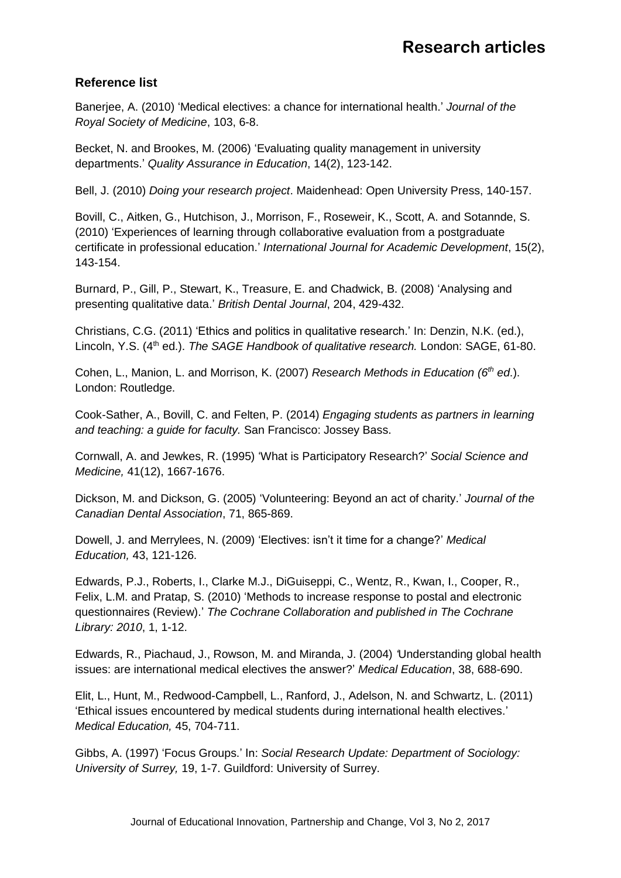# **Reference list**

Banerjee, A. (2010) 'Medical electives: a chance for international health.' *Journal of the Royal Society of Medicine*, 103, 6-8.

Becket, N. and Brookes, M. (2006) 'Evaluating quality management in university departments.' *Quality Assurance in Education*, 14(2), 123-142.

Bell, J. (2010) *Doing your research project*. Maidenhead: Open University Press, 140-157.

 Bovill, C., Aitken, G., Hutchison, J., Morrison, F., Roseweir, K., Scott, A. and Sotannde, S. (2010) 'Experiences of learning through collaborative evaluation from a postgraduate certificate in professional education.' *International Journal for Academic Development*, 15(2), 143-154.

Burnard, P., Gill, P., Stewart, K., Treasure, E. and Chadwick, B. (2008) 'Analysing and presenting qualitative data.' *British Dental Journal*, 204, 429-432.

Christians, C.G. (2011) 'Ethics and politics in qualitative research.' In: Denzin, N.K. (ed.), Lincoln, Y.S. (4<sup>th</sup> ed.). *The SAGE Handbook of qualitative research.* London: SAGE, 61-80.

Cohen, L., Manion, L. and Morrison, K. (2007) *Research Methods in Education (6th ed*.). London: Routledge.

Cook-Sather, A., Bovill, C. and Felten, P. (2014) *Engaging students as partners in learning and teaching: a guide for faculty.* San Francisco: Jossey Bass.

Cornwall, A. and Jewkes, R. (1995) 'What is Participatory Research?' *Social Science and Medicine,* 41(12), 1667-1676.

Dickson, M. and Dickson, G. (2005) 'Volunteering: Beyond an act of charity.' *Journal of the Canadian Dental Association*, 71, 865-869.

Dowell, J. and Merrylees, N. (2009) 'Electives: isn't it time for a change?' *Medical Education,* 43, 121-126.

Edwards, P.J., Roberts, I., Clarke M.J., DiGuiseppi, C., Wentz, R., Kwan, I., Cooper, R., Felix, L.M. and Pratap, S. (2010) 'Methods to increase response to postal and electronic questionnaires (Review).' *The Cochrane Collaboration and published in The Cochrane Library: 2010*, 1, 1-12.

Edwards, R., Piachaud, J., Rowson, M. and Miranda, J. (2004) *'*Understanding global health issues: are international medical electives the answer?' *Medical Education*, 38, 688-690.

Elit, L., Hunt, M., Redwood-Campbell, L., Ranford, J., Adelson, N. and Schwartz, L. (2011) 'Ethical issues encountered by medical students during international health electives.' *Medical Education,* 45, 704-711.

Gibbs, A. (1997) 'Focus Groups.' In: *Social Research Update: Department of Sociology: University of Surrey,* 19, 1-7. Guildford: University of Surrey.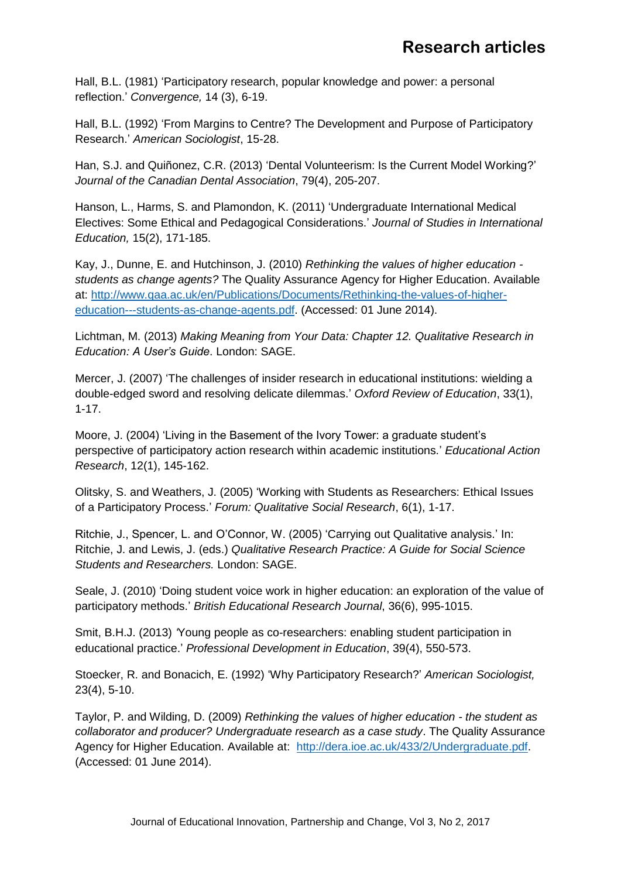Hall, B.L. (1981) 'Participatory research, popular knowledge and power: a personal reflection.' *Convergence,* 14 (3), 6-19.

Hall, B.L. (1992) 'From Margins to Centre? The Development and Purpose of Participatory Research.' *American Sociologist*, 15-28.

Han, S.J. and Quiñonez, C.R. (2013) 'Dental Volunteerism: Is the Current Model Working?' *Journal of the Canadian Dental Association*, 79(4), 205-207.

Hanson, L., Harms, S. and Plamondon, K. (2011) 'Undergraduate International Medical Electives: Some Ethical and Pedagogical Considerations.' *Journal of Studies in International Education,* 15(2), 171-185.

Kay, J., Dunne, E. and Hutchinson, J. (2010) *Rethinking the values of higher education students as change agents?* The Quality Assurance Agency for Higher Education. Available at: [http://www.qaa.ac.uk/en/Publications/Documents/Rethinking-the-values-of-higher](http://www.qaa.ac.uk/en/Publications/Documents/Rethinking-the-values-of-higher-education---students-as-change-agents.pdf)[education---students-as-change-agents.pdf.](http://www.qaa.ac.uk/en/Publications/Documents/Rethinking-the-values-of-higher-education---students-as-change-agents.pdf) (Accessed: 01 June 2014).

Lichtman, M. (2013) *Making Meaning from Your Data: Chapter 12. Qualitative Research in Education: A User's Guide*. London: SAGE.

Mercer, J. (2007) 'The challenges of insider research in educational institutions: wielding a double-edged sword and resolving delicate dilemmas.' *Oxford Review of Education*, 33(1), 1-17.

Moore, J. (2004) 'Living in the Basement of the Ivory Tower: a graduate student's perspective of participatory action research within academic institutions.' *Educational Action Research*, 12(1), 145-162.

Olitsky, S. and Weathers, J. (2005) 'Working with Students as Researchers: Ethical Issues of a Participatory Process.' *Forum: Qualitative Social Research*, 6(1), 1-17.

Ritchie, J., Spencer, L. and O'Connor, W. (2005) 'Carrying out Qualitative analysis.' In: Ritchie, J. and Lewis, J. (eds.) *Qualitative Research Practice: A Guide for Social Science Students and Researchers.* London: SAGE.

Seale, J. (2010) 'Doing student voice work in higher education: an exploration of the value of participatory methods.' *British Educational Research Journal*, 36(6), 995-1015.

Smit, B.H.J. (2013) *'*Young people as co-researchers: enabling student participation in educational practice.' *Professional Development in Education*, 39(4), 550-573.

Stoecker, R. and Bonacich, E. (1992) 'Why Participatory Research?' *American Sociologist,*  23(4), 5-10.

Taylor, P. and Wilding, D. (2009) *Rethinking the values of higher education - the student as collaborator and producer? Undergraduate research as a case study*. The Quality Assurance Agency for Higher Education. Available at: [http://dera.ioe.ac.uk/433/2/Undergraduate.pdf.](http://dera.ioe.ac.uk/433/2/Undergraduate.pdf) (Accessed: 01 June 2014).